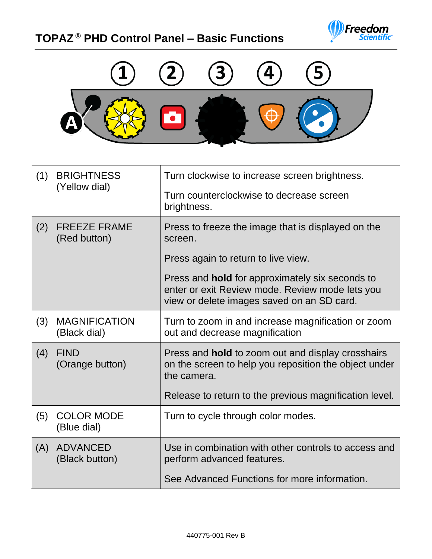## **TOPAZ ® PHD Control Panel – Basic Functions**





| (1) | <b>BRIGHTNESS</b><br>(Yellow dial)   | Turn clockwise to increase screen brightness.                                                                                                           |
|-----|--------------------------------------|---------------------------------------------------------------------------------------------------------------------------------------------------------|
|     |                                      | Turn counterclockwise to decrease screen<br>brightness.                                                                                                 |
| (2) | <b>FREEZE FRAME</b><br>(Red button)  | Press to freeze the image that is displayed on the<br>screen.                                                                                           |
|     |                                      | Press again to return to live view.                                                                                                                     |
|     |                                      | Press and <b>hold</b> for approximately six seconds to<br>enter or exit Review mode. Review mode lets you<br>view or delete images saved on an SD card. |
| (3) | <b>MAGNIFICATION</b><br>(Black dial) | Turn to zoom in and increase magnification or zoom<br>out and decrease magnification                                                                    |
| (4) | <b>FIND</b><br>(Orange button)       | Press and <b>hold</b> to zoom out and display crosshairs<br>on the screen to help you reposition the object under<br>the camera.                        |
|     |                                      | Release to return to the previous magnification level.                                                                                                  |
| (5) | <b>COLOR MODE</b><br>(Blue dial)     | Turn to cycle through color modes.                                                                                                                      |
| (A) | <b>ADVANCED</b><br>(Black button)    | Use in combination with other controls to access and<br>perform advanced features.                                                                      |
|     |                                      | See Advanced Functions for more information.                                                                                                            |